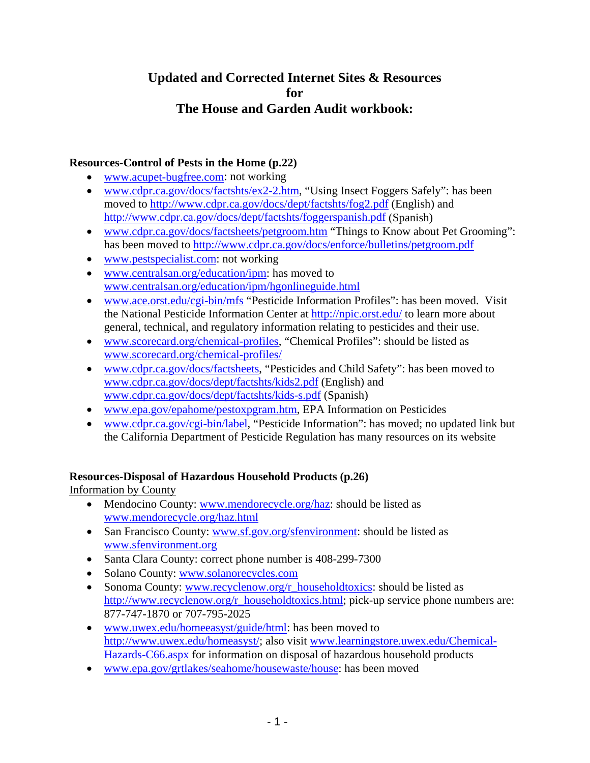# **Updated and Corrected Internet Sites & Resources for The House and Garden Audit workbook:**

## **Resources-Control of Pests in the Home (p.22)**

- www.acupet-bugfree.com: not working
- www.cdpr.ca.gov/docs/factshts/ex2-2.htm, "Using Insect Foggers Safely": has been moved to http://www.cdpr.ca.gov/docs/dept/factshts/fog2.pdf (English) and http://www.cdpr.ca.gov/docs/dept/factshts/foggerspanish.pdf (Spanish)
- www.cdpr.ca.gov/docs/factsheets/petgroom.htm "Things to Know about Pet Grooming": has been moved to http://www.cdpr.ca.gov/docs/enforce/bulletins/petgroom.pdf
- www.pestspecialist.com: not working
- www.centralsan.org/education/ipm: has moved to www.centralsan.org/education/ipm/hgonlineguide.html
- www.ace.orst.edu/cgi-bin/mfs "Pesticide Information Profiles": has been moved. Visit the National Pesticide Information Center at http://npic.orst.edu/ to learn more about general, technical, and regulatory information relating to pesticides and their use.
- www.scorecard.org/chemical-profiles, "Chemical Profiles": should be listed as www.scorecard.org/chemical-profiles/
- www.cdpr.ca.gov/docs/factsheets, "Pesticides and Child Safety": has been moved to www.cdpr.ca.gov/docs/dept/factshts/kids2.pdf (English) and www.cdpr.ca.gov/docs/dept/factshts/kids-s.pdf (Spanish)
- www.epa.gov/epahome/pestoxpgram.htm, EPA Information on Pesticides
- www.cdpr.ca.gov/cgi-bin/label, "Pesticide Information": has moved; no updated link but the California Department of Pesticide Regulation has many resources on its website

## **Resources-Disposal of Hazardous Household Products (p.26)**

Information by County

- Mendocino County: www.mendorecycle.org/haz: should be listed as www.mendorecycle.org/haz.html
- San Francisco County: www.sf.gov.org/sfenvironment: should be listed as www.sfenvironment.org
- Santa Clara County: correct phone number is 408-299-7300
- Solano County: www.solanorecycles.com
- Sonoma County: www.recyclenow.org/r\_householdtoxics: should be listed as http://www.recyclenow.org/r\_householdtoxics.html; pick-up service phone numbers are: 877-747-1870 or 707-795-2025
- www.uwex.edu/homeeasyst/guide/html: has been moved to http://www.uwex.edu/homeasyst/; also visit www.learningstore.uwex.edu/Chemical-Hazards-C66.aspx for information on disposal of hazardous household products
- www.epa.gov/grtlakes/seahome/housewaste/house: has been moved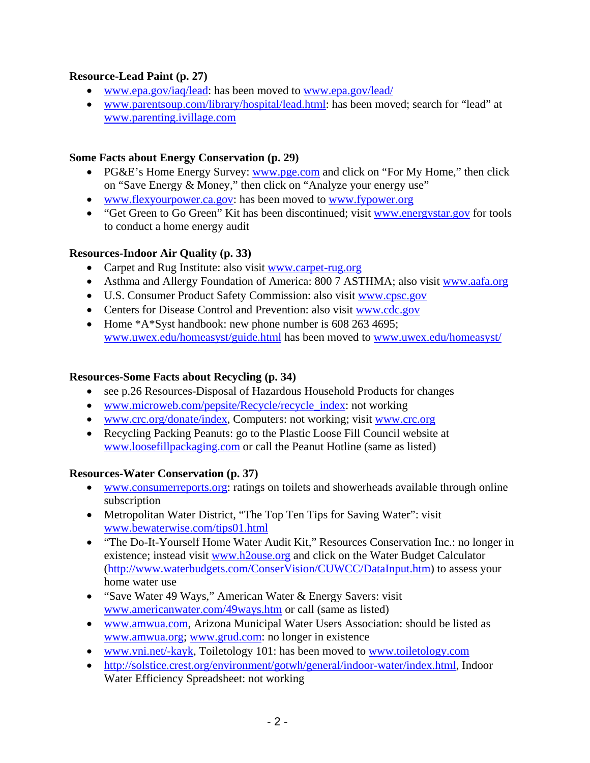## **Resource-Lead Paint (p. 27)**

- www.epa.gov/iaq/lead: has been moved to www.epa.gov/lead/
- www.parentsoup.com/library/hospital/lead.html: has been moved; search for "lead" at www.parenting.ivillage.com

#### **Some Facts about Energy Conservation (p. 29)**

- PG&E's Home Energy Survey: www.pge.com and click on "For My Home," then click on "Save Energy & Money," then click on "Analyze your energy use"
- www.flexyourpower.ca.gov: has been moved to www.fypower.org
- "Get Green to Go Green" Kit has been discontinued; visit www.energystar.gov for tools to conduct a home energy audit

## **Resources-Indoor Air Quality (p. 33)**

- Carpet and Rug Institute: also visit www.carpet-rug.org
- Asthma and Allergy Foundation of America: 800 7 ASTHMA; also visit www.aafa.org
- U.S. Consumer Product Safety Commission: also visit www.cpsc.gov
- Centers for Disease Control and Prevention: also visit www.cdc.gov
- Home \*A\*Syst handbook: new phone number is 608 263 4695; www.uwex.edu/homeasyst/guide.html has been moved to www.uwex.edu/homeasyst/

## **Resources-Some Facts about Recycling (p. 34)**

- see p.26 Resources-Disposal of Hazardous Household Products for changes
- www.microweb.com/pepsite/Recycle/recycle\_index: not working
- www.crc.org/donate/index, Computers: not working; visit www.crc.org
- Recycling Packing Peanuts: go to the Plastic Loose Fill Council website at www.loosefillpackaging.com or call the Peanut Hotline (same as listed)

#### **Resources-Water Conservation (p. 37)**

- www.consumerreports.org: ratings on toilets and showerheads available through online subscription
- Metropolitan Water District, "The Top Ten Tips for Saving Water": visit www.bewaterwise.com/tips01.html
- "The Do-It-Yourself Home Water Audit Kit," Resources Conservation Inc.: no longer in existence; instead visit www.h2ouse.org and click on the Water Budget Calculator (http://www.waterbudgets.com/ConserVision/CUWCC/DataInput.htm) to assess your home water use
- "Save Water 49 Ways," American Water & Energy Savers: visit www.americanwater.com/49ways.htm or call (same as listed)
- www.amwua.com, Arizona Municipal Water Users Association: should be listed as www.amwua.org; www.grud.com: no longer in existence
- www.vni.net/-kayk, Toiletology 101: has been moved to www.toiletology.com
- http://solstice.crest.org/environment/gotwh/general/indoor-water/index.html, Indoor Water Efficiency Spreadsheet: not working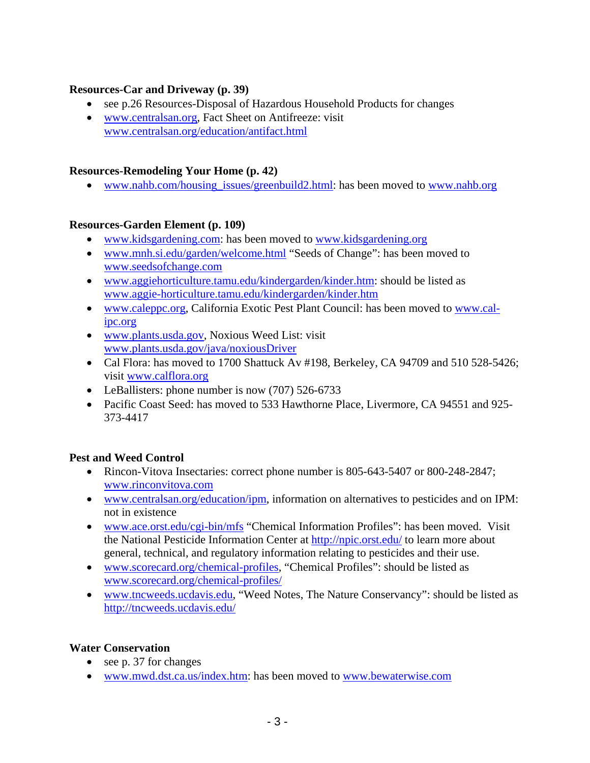#### **Resources-Car and Driveway (p. 39)**

- see p.26 Resources-Disposal of Hazardous Household Products for changes
- www.centralsan.org. Fact Sheet on Antifreeze: visit www.centralsan.org/education/antifact.html

#### **Resources-Remodeling Your Home (p. 42)**

• www.nahb.com/housing\_issues/greenbuild2.html: has been moved to www.nahb.org

## **Resources-Garden Element (p. 109)**

- www.kidsgardening.com: has been moved to www.kidsgardening.org
- www.mnh.si.edu/garden/welcome.html "Seeds of Change": has been moved to www.seedsofchange.com
- www.aggiehorticulture.tamu.edu/kindergarden/kinder.htm: should be listed as www.aggie-horticulture.tamu.edu/kindergarden/kinder.htm
- www.caleppc.org, California Exotic Pest Plant Council: has been moved to www.calipc.org
- www.plants.usda.gov, Noxious Weed List: visit www.plants.usda.gov/java/noxiousDriver
- Cal Flora: has moved to 1700 Shattuck Av #198, Berkeley, CA 94709 and 510 528-5426; visit www.calflora.org
- LeBallisters: phone number is now (707) 526-6733
- Pacific Coast Seed: has moved to 533 Hawthorne Place, Livermore, CA 94551 and 925-373-4417

## **Pest and Weed Control**

- Rincon-Vitova Insectaries: correct phone number is 805-643-5407 or 800-248-2847; www.rinconvitova.com
- www.centralsan.org/education/ipm, information on alternatives to pesticides and on IPM: not in existence
- www.ace.orst.edu/cgi-bin/mfs "Chemical Information Profiles": has been moved. Visit the National Pesticide Information Center at http://npic.orst.edu/ to learn more about general, technical, and regulatory information relating to pesticides and their use.
- www.scorecard.org/chemical-profiles, "Chemical Profiles": should be listed as www.scorecard.org/chemical-profiles/
- www.tncweeds.ucdavis.edu, "Weed Notes, The Nature Conservancy": should be listed as http://tncweeds.ucdavis.edu/

#### **Water Conservation**

- see p. 37 for changes
- www.mwd.dst.ca.us/index.htm: has been moved to www.bewaterwise.com